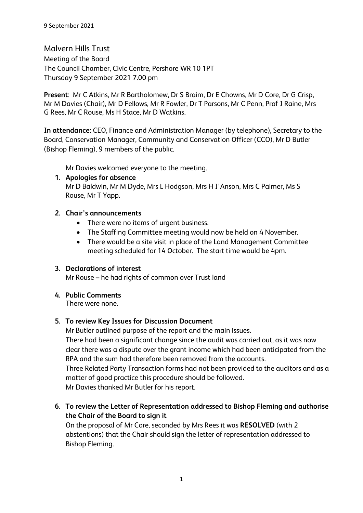Malvern Hills Trust Meeting of the Board The Council Chamber, Civic Centre, Pershore WR 10 1PT Thursday 9 September 2021 7.00 pm

**Present**: Mr C Atkins, Mr R Bartholomew, Dr S Braim, Dr E Chowns, Mr D Core, Dr G Crisp, Mr M Davies (Chair), Mr D Fellows, Mr R Fowler, Dr T Parsons, Mr C Penn, Prof J Raine, Mrs G Rees, Mr C Rouse, Ms H Stace, Mr D Watkins.

**In attendance:** CEO, Finance and Administration Manager (by telephone), Secretary to the Board, Conservation Manager, Community and Conservation Officer (CCO), Mr D Butler (Bishop Fleming), 9 members of the public.

Mr Davies welcomed everyone to the meeting.

**1. Apologies for absence** Mr D Baldwin, Mr M Dyde, Mrs L Hodgson, Mrs H I'Anson, Mrs C Palmer, Ms S Rouse, Mr T Yapp.

### **2. Chair's announcements**

- There were no items of urgent business.
- The Staffing Committee meeting would now be held on 4 November.
- There would be a site visit in place of the Land Management Committee meeting scheduled for 14 October. The start time would be 4pm.

# **3. Declarations of interest**

Mr Rouse – he had rights of common over Trust land

# **4. Public Comments**

There were none.

### **5. To review Key Issues for Discussion Document**

Mr Butler outlined purpose of the report and the main issues. There had been a significant change since the audit was carried out, as it was now clear there was a dispute over the grant income which had been anticipated from the RPA and the sum had therefore been removed from the accounts. Three Related Party Transaction forms had not been provided to the auditors and as a matter of good practice this procedure should be followed.

Mr Davies thanked Mr Butler for his report.

**6. To review the Letter of Representation addressed to Bishop Fleming and authorise the Chair of the Board to sign it**

On the proposal of Mr Core, seconded by Mrs Rees it was **RESOLVED** (with 2 abstentions) that the Chair should sign the letter of representation addressed to Bishop Fleming.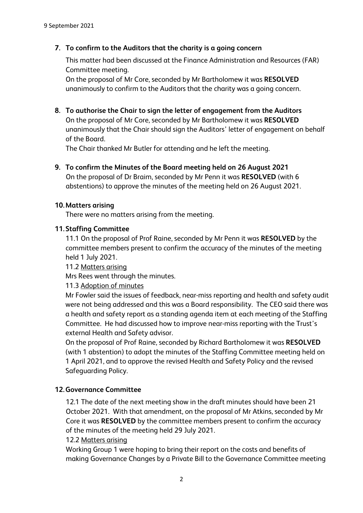### **7. To confirm to the Auditors that the charity is a going concern**

This matter had been discussed at the Finance Administration and Resources (FAR) Committee meeting.

On the proposal of Mr Core, seconded by Mr Bartholomew it was **RESOLVED** unanimously to confirm to the Auditors that the charity was a going concern.

**8. To authorise the Chair to sign the letter of engagement from the Auditors**

On the proposal of Mr Core, seconded by Mr Bartholomew it was **RESOLVED** unanimously that the Chair should sign the Auditors' letter of engagement on behalf of the Board.

The Chair thanked Mr Butler for attending and he left the meeting.

**9. To confirm the Minutes of the Board meeting held on 26 August 2021** On the proposal of Dr Braim, seconded by Mr Penn it was **RESOLVED** (with 6 abstentions) to approve the minutes of the meeting held on 26 August 2021.

#### **10.Matters arising**

There were no matters arising from the meeting.

#### **11.Staffing Committee**

11.1 On the proposal of Prof Raine, seconded by Mr Penn it was **RESOLVED** by the committee members present to confirm the accuracy of the minutes of the meeting held 1 July 2021.

11.2 Matters arising

Mrs Rees went through the minutes.

11.3 Adoption of minutes

Mr Fowler said the issues of feedback, near-miss reporting and health and safety audit were not being addressed and this was a Board responsibility. The CEO said there was a health and safety report as a standing agenda item at each meeting of the Staffing Committee. He had discussed how to improve near-miss reporting with the Trust's external Health and Safety advisor.

On the proposal of Prof Raine, seconded by Richard Bartholomew it was **RESOLVED** (with 1 abstention) to adopt the minutes of the Staffing Committee meeting held on 1 April 2021, and to approve the revised Health and Safety Policy and the revised Safeguarding Policy.

#### **12.Governance Committee**

12.1 The date of the next meeting show in the draft minutes should have been 21 October 2021. With that amendment, on the proposal of Mr Atkins, seconded by Mr Core it was **RESOLVED** by the committee members present to confirm the accuracy of the minutes of the meeting held 29 July 2021.

12.2 Matters arising

Working Group 1 were hoping to bring their report on the costs and benefits of making Governance Changes by a Private Bill to the Governance Committee meeting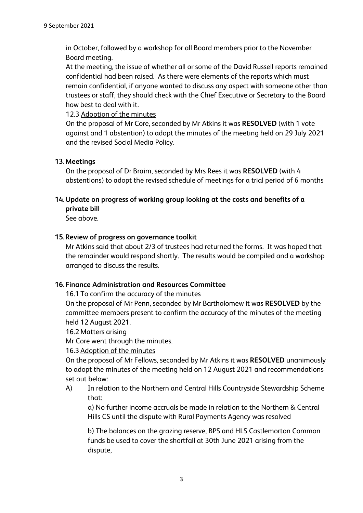in October, followed by a workshop for all Board members prior to the November Board meeting.

At the meeting, the issue of whether all or some of the David Russell reports remained confidential had been raised. As there were elements of the reports which must remain confidential, if anyone wanted to discuss any aspect with someone other than trustees or staff, they should check with the Chief Executive or Secretary to the Board how best to deal with it.

12.3 Adoption of the minutes

On the proposal of Mr Core, seconded by Mr Atkins it was **RESOLVED** (with 1 vote against and 1 abstention) to adopt the minutes of the meeting held on 29 July 2021 and the revised Social Media Policy.

### **13.Meetings**

On the proposal of Dr Braim, seconded by Mrs Rees it was **RESOLVED** (with 4 abstentions) to adopt the revised schedule of meetings for a trial period of 6 months

# **14.Update on progress of working group looking at the costs and benefits of a private bill**

See above.

### **15.Review of progress on governance toolkit**

Mr Atkins said that about 2/3 of trustees had returned the forms. It was hoped that the remainder would respond shortly. The results would be compiled and a workshop arranged to discuss the results.

### **16.Finance Administration and Resources Committee**

16.1 To confirm the accuracy of the minutes

On the proposal of Mr Penn, seconded by Mr Bartholomew it was **RESOLVED** by the committee members present to confirm the accuracy of the minutes of the meeting held 12 August 2021.

#### 16.2 Matters arising

Mr Core went through the minutes.

#### 16.3 Adoption of the minutes

On the proposal of Mr Fellows, seconded by Mr Atkins it was **RESOLVED** unanimously to adopt the minutes of the meeting held on 12 August 2021 and recommendations set out below:

A) In relation to the Northern and Central Hills Countryside Stewardship Scheme that:

a) No further income accruals be made in relation to the Northern & Central Hills CS until the dispute with Rural Payments Agency was resolved

b) The balances on the grazing reserve, BPS and HLS Castlemorton Common funds be used to cover the shortfall at 30th June 2021 arising from the dispute,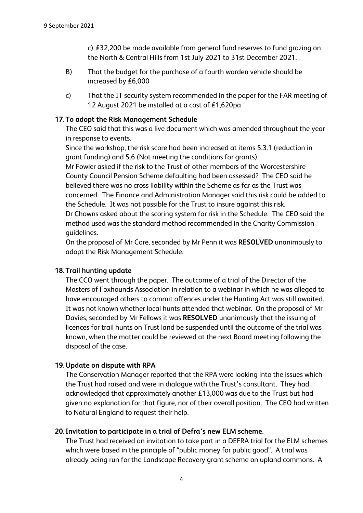c) £32,200 be made available from general fund reserves to fund grazing on the North & Central Hills from 1st July 2021 to 31st December 2021.

- B) That the budget for the purchase of a fourth warden vehicle should be increased by £6,000
- c) That the IT security system recommended in the paper for the FAR meeting of 12 August 2021 be installed at a cost of £1,620pa

#### **17.To adopt the Risk Management Schedule**

The CEO said that this was a live document which was amended throughout the year in response to events.

Since the workshop, the risk score had been increased at items 5.3.1 (reduction in grant funding) and 5.6 (Not meeting the conditions for grants).

Mr Fowler asked if the risk to the Trust of other members of the Worcestershire County Council Pension Scheme defaulting had been assessed? The CEO said he believed there was no cross liability within the Scheme as far as the Trust was concerned. The Finance and Administration Manager said this risk could be added to the Schedule. It was not possible for the Trust to insure against this risk.

Dr Chowns asked about the scoring system for risk in the Schedule. The CEO said the method used was the standard method recommended in the Charity Commission guidelines.

On the proposal of Mr Core, seconded by Mr Penn it was **RESOLVED** unanimously to adopt the Risk Management Schedule.

#### **18.Trail hunting update**

The CCO went through the paper. The outcome of a trial of the Director of the Masters of Foxhounds Association in relation to a webinar in which he was alleged to have encouraged others to commit offences under the Hunting Act was still awaited. It was not known whether local hunts attended that webinar. On the proposal of Mr Davies, seconded by Mr Fellows it was **RESOLVED** unanimously that the issuing of licences for trail hunts on Trust land be suspended until the outcome of the trial was known, when the matter could be reviewed at the next Board meeting following the disposal of the case.

#### **19.Update on dispute with RPA**

The Conservation Manager reported that the RPA were looking into the issues which the Trust had raised and were in dialogue with the Trust's consultant. They had acknowledged that approximately another £13,000 was due to the Trust but had given no explanation for that figure, nor of their overall position. The CEO had written to Natural England to request their help.

#### **20. Invitation to participate in a trial of Defra's new ELM scheme**.

The Trust had received an invitation to take part in a DEFRA trial for the ELM schemes which were based in the principle of "public money for public good". A trial was already being run for the Landscape Recovery grant scheme on upland commons. A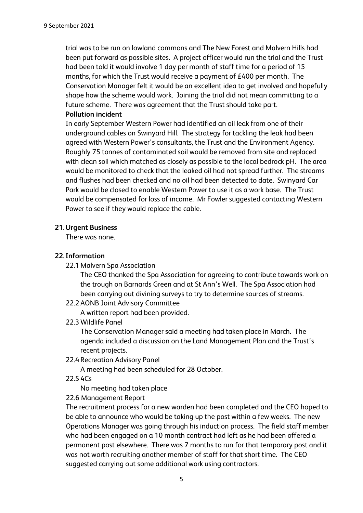trial was to be run on lowland commons and The New Forest and Malvern Hills had been put forward as possible sites. A project officer would run the trial and the Trust had been told it would involve 1 day per month of staff time for a period of 15 months, for which the Trust would receive a payment of £400 per month. The Conservation Manager felt it would be an excellent idea to get involved and hopefully shape how the scheme would work. Joining the trial did not mean committing to a future scheme. There was agreement that the Trust should take part. **Pollution incident**

In early September Western Power had identified an oil leak from one of their underground cables on Swinyard Hill. The strategy for tackling the leak had been agreed with Western Power's consultants, the Trust and the Environment Agency. Roughly 75 tonnes of contaminated soil would be removed from site and replaced with clean soil which matched as closely as possible to the local bedrock pH. The area would be monitored to check that the leaked oil had not spread further. The streams and flushes had been checked and no oil had been detected to date. Swinyard Car Park would be closed to enable Western Power to use it as a work base. The Trust would be compensated for loss of income. Mr Fowler suggested contacting Western Power to see if they would replace the cable.

### **21.Urgent Business**

There was none.

### **22. Information**

22.1 Malvern Spa Association

The CEO thanked the Spa Association for agreeing to contribute towards work on the trough on Barnards Green and at St Ann's Well. The Spa Association had been carrying out divining surveys to try to determine sources of streams.

22.2 AONB Joint Advisory Committee

A written report had been provided.

22.3 Wildlife Panel

The Conservation Manager said a meeting had taken place in March. The agenda included a discussion on the Land Management Plan and the Trust's recent projects.

22.4 Recreation Advisory Panel

A meeting had been scheduled for 28 October.

22.5 4Cs

No meeting had taken place

22.6 Management Report

The recruitment process for a new warden had been completed and the CEO hoped to be able to announce who would be taking up the post within a few weeks. The new Operations Manager was going through his induction process. The field staff member who had been engaged on a 10 month contract had left as he had been offered a permanent post elsewhere. There was 7 months to run for that temporary post and it was not worth recruiting another member of staff for that short time. The CEO suggested carrying out some additional work using contractors.